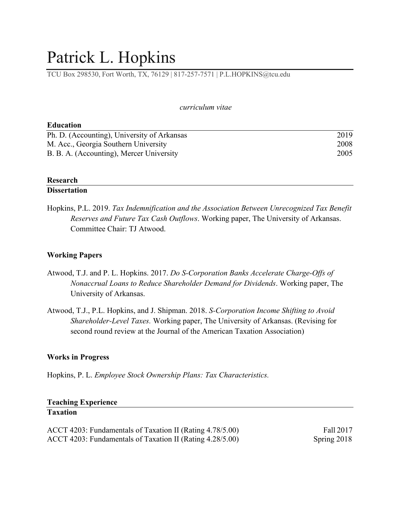# Patrick L. Hopkins

TCU Box 298530, Fort Worth, TX, 76129 | 817-257-7571 | P.L.HOPKINS@tcu.edu

#### *curriculum vitae*

| <b>Education</b>                            |      |
|---------------------------------------------|------|
| Ph. D. (Accounting), University of Arkansas | 2019 |
| M. Acc., Georgia Southern University        | 2008 |
| B. B. A. (Accounting), Mercer University    | 2005 |

## **Research**

# **Dissertation**

Hopkins, P.L. 2019. *Tax Indemnification and the Association Between Unrecognized Tax Benefit Reserves and Future Tax Cash Outflows*. Working paper, The University of Arkansas. Committee Chair: TJ Atwood.

# **Working Papers**

- Atwood, T.J. and P. L. Hopkins. 2017. *Do S-Corporation Banks Accelerate Charge-Offs of Nonaccrual Loans to Reduce Shareholder Demand for Dividends*. Working paper, The University of Arkansas.
- Atwood, T.J., P.L. Hopkins, and J. Shipman. 2018. *S-Corporation Income Shifting to Avoid Shareholder-Level Taxes.* Working paper, The University of Arkansas. (Revising for second round review at the Journal of the American Taxation Association)

# **Works in Progress**

Hopkins, P. L. *Employee Stock Ownership Plans: Tax Characteristics.*

## **Teaching Experience Taxation**

ACCT 4203: Fundamentals of Taxation II (Rating 4.78/5.00) Fall 2017 ACCT 4203: Fundamentals of Taxation II (Rating 4.28/5.00) Spring 2018